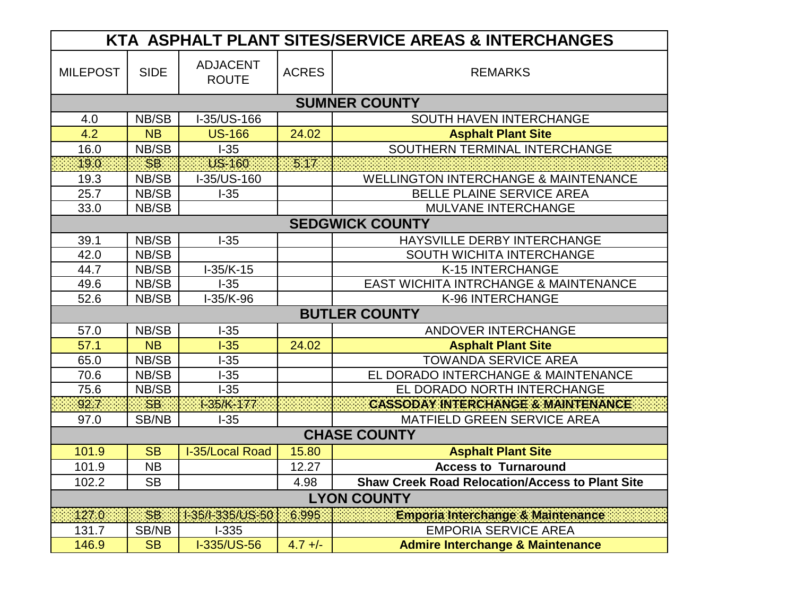| KTA ASPHALT PLANT SITES/SERVICE AREAS & INTERCHANGES |             |                                 |              |                                                        |  |  |  |
|------------------------------------------------------|-------------|---------------------------------|--------------|--------------------------------------------------------|--|--|--|
| <b>MILEPOST</b>                                      | <b>SIDE</b> | <b>ADJACENT</b><br><b>ROUTE</b> | <b>ACRES</b> | <b>REMARKS</b>                                         |  |  |  |
|                                                      |             |                                 |              | <b>SUMNER COUNTY</b>                                   |  |  |  |
| 4.0                                                  | NB/SB       | I-35/US-166                     |              | SOUTH HAVEN INTERCHANGE                                |  |  |  |
| 4.2                                                  | <b>NB</b>   | <b>US-166</b>                   | 24.02        | <b>Asphalt Plant Site</b>                              |  |  |  |
| 16.0                                                 | NB/SB       | $-35$                           |              | SOUTHERN TERMINAL INTERCHANGE                          |  |  |  |
| 19.0                                                 | SB:         | US-160                          | 5.17         |                                                        |  |  |  |
| 19.3                                                 | NB/SB       | I-35/US-160                     |              | <b>WELLINGTON INTERCHANGE &amp; MAINTENANCE</b>        |  |  |  |
| 25.7                                                 | NB/SB       | $I-35$                          |              | BELLE PLAINE SERVICE AREA                              |  |  |  |
| 33.0                                                 | NB/SB       |                                 |              | MULVANE INTERCHANGE                                    |  |  |  |
| <b>SEDGWICK COUNTY</b>                               |             |                                 |              |                                                        |  |  |  |
| 39.1                                                 | NB/SB       | $-35$                           |              | HAYSVILLE DERBY INTERCHANGE                            |  |  |  |
| 42.0                                                 | NB/SB       |                                 |              | SOUTH WICHITA INTERCHANGE                              |  |  |  |
| 44.7                                                 | NB/SB       | $1-35/K-15$                     |              | K-15 INTERCHANGE                                       |  |  |  |
| 49.6                                                 | NB/SB       | $I-35$                          |              | <b>EAST WICHITA INTRCHANGE &amp; MAINTENANCE</b>       |  |  |  |
| 52.6                                                 | NB/SB       | $I-35/K-96$                     |              | K-96 INTERCHANGE                                       |  |  |  |
| <b>BUTLER COUNTY</b>                                 |             |                                 |              |                                                        |  |  |  |
| 57.0                                                 | NB/SB       | $-35$                           |              | ANDOVER INTERCHANGE                                    |  |  |  |
| 57.1                                                 | <b>NB</b>   | $-35$                           | 24.02        | <b>Asphalt Plant Site</b>                              |  |  |  |
| 65.0                                                 | NB/SB       | $-35$                           |              | <b>TOWANDA SERVICE AREA</b>                            |  |  |  |
| 70.6                                                 | NB/SB       | $-35$                           |              | EL DORADO INTERCHANGE & MAINTENANCE                    |  |  |  |
| 75.6                                                 | NB/SB       | $-35$                           |              | EL DORADO NORTH INTERCHANGE                            |  |  |  |
| 92.7                                                 | <b>SB</b>   | $1-35/K-177$                    |              | <b>CASSODAY INTERCHANGE &amp; MAINTENANCE</b>          |  |  |  |
| 97.0                                                 | SB/NB       | $-35$                           |              | MATFIELD GREEN SERVICE AREA                            |  |  |  |
| <b>CHASE COUNTY</b>                                  |             |                                 |              |                                                        |  |  |  |
| 101.9                                                | <b>SB</b>   | I-35/Local Road                 | 15.80        | <b>Asphalt Plant Site</b>                              |  |  |  |
| 101.9                                                | <b>NB</b>   |                                 | 12.27        | <b>Access to Turnaround</b>                            |  |  |  |
| 102.2                                                | <b>SB</b>   |                                 | 4.98         | <b>Shaw Creek Road Relocation/Access to Plant Site</b> |  |  |  |
| <b>LYON COUNTY</b>                                   |             |                                 |              |                                                        |  |  |  |
| 127.0                                                | SB.         | 1-35/l-335/US-50                | 6.995        | Emporia Interchange & Maintenance                      |  |  |  |
| 131.7                                                | SB/NB       | $1 - 335$                       |              | <b>EMPORIA SERVICE AREA</b>                            |  |  |  |
| 146.9                                                | <b>SB</b>   | I-335/US-56                     | $4.7 +/-$    | <b>Admire Interchange &amp; Maintenance</b>            |  |  |  |